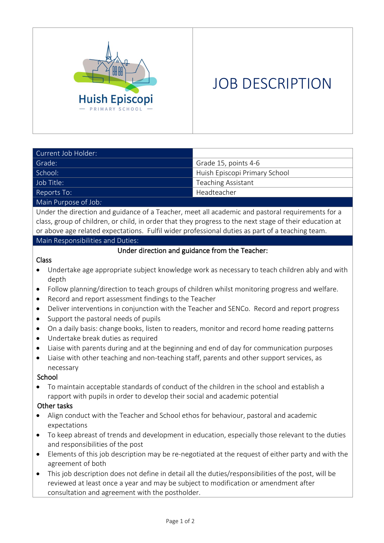

# JOB DESCRIPTION

| Current Job Holder:  |                               |  |
|----------------------|-------------------------------|--|
| Grade:               | Grade 15, points 4-6          |  |
| School:              | Huish Episcopi Primary School |  |
| Job Title:           | <b>Teaching Assistant</b>     |  |
| Reports To:          | Headteacher                   |  |
| Main Purpose of Job: |                               |  |

Under the direction and guidance of a Teacher, meet all academic and pastoral requirements for a class, group of children, or child, in order that they progress to the next stage of their education at or above age related expectations. Fulfil wider professional duties as part of a teaching team.

Main Responsibilities and Duties:

## Under direction and guidance from the Teacher:

#### Class

- Undertake age appropriate subject knowledge work as necessary to teach children ably and with depth
- Follow planning/direction to teach groups of children whilst monitoring progress and welfare.
- Record and report assessment findings to the Teacher
- Deliver interventions in conjunction with the Teacher and SENCo. Record and report progress
- Support the pastoral needs of pupils
- On a daily basis: change books, listen to readers, monitor and record home reading patterns
- Undertake break duties as required
- Liaise with parents during and at the beginning and end of day for communication purposes
- Liaise with other teaching and non-teaching staff, parents and other support services, as necessary

## School

• To maintain acceptable standards of conduct of the children in the school and establish a rapport with pupils in order to develop their social and academic potential

## Other tasks

- Align conduct with the Teacher and School ethos for behaviour, pastoral and academic expectations
- To keep abreast of trends and development in education, especially those relevant to the duties and responsibilities of the post
- Elements of this job description may be re-negotiated at the request of either party and with the agreement of both
- This job description does not define in detail all the duties/responsibilities of the post, will be reviewed at least once a year and may be subject to modification or amendment after consultation and agreement with the postholder.